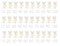

20 30 40 50 60 70 80 90 100



20 30 40 50 60 70 80 90 100

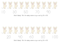

What's Missing? Fill in the missing numbers as you count by 10's to 100.



What's Missing? Fill in the missing numbers as you count by 10's to 100.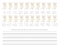

Students trace and then write the numbers. You can also just run these off as a large review bookmark.

\_\_\_\_\_\_\_\_\_\_\_\_\_\_\_\_\_\_\_\_\_\_\_\_\_\_\_\_\_\_\_\_\_\_\_\_\_\_\_\_\_

\_\_\_\_\_\_\_\_\_\_\_\_\_\_\_\_\_\_\_\_\_\_\_\_\_\_\_\_\_\_\_\_\_\_\_\_\_\_\_\_\_

\_\_\_\_\_\_\_\_\_\_\_\_\_\_\_\_\_\_\_\_\_\_\_\_\_\_\_\_\_\_\_\_\_\_\_\_\_\_\_\_\_

\_\_\_\_\_\_\_\_\_\_\_\_\_\_\_\_\_\_\_\_\_\_\_\_\_\_\_\_\_\_\_\_\_\_\_\_\_\_\_\_\_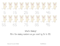

## What's Missing?

Fill in the missing numbers as you count by 5's to 100.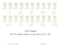



## What's Missing?

Fill in the missing numbers as you count by 5's to 100.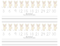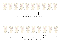

What's Missing? Skip count by 3's to fill in the missing numbers.



What's Missing? Skip count by 3's to fill in the missing numbers.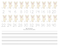

\_\_\_\_\_\_\_\_\_\_\_\_\_\_\_\_\_\_\_\_\_\_\_\_\_\_\_\_\_\_\_\_\_\_\_\_\_\_\_\_\_\_

\_\_\_\_\_\_\_\_\_\_\_\_\_\_\_\_\_\_\_\_\_\_\_\_\_\_\_\_\_\_\_\_\_\_\_\_\_\_\_\_\_\_

\_\_\_\_\_\_\_\_\_\_\_\_\_\_\_\_\_\_\_\_\_\_\_\_\_\_\_\_\_\_\_\_\_\_\_\_\_\_\_\_\_\_

\_\_\_\_\_\_\_\_\_\_\_\_\_\_\_\_\_\_\_\_\_\_\_\_\_\_\_\_\_\_\_\_\_\_\_\_\_\_\_\_\_\_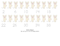

What's Missing? Skip count by 2's to fill in the missing numbers.